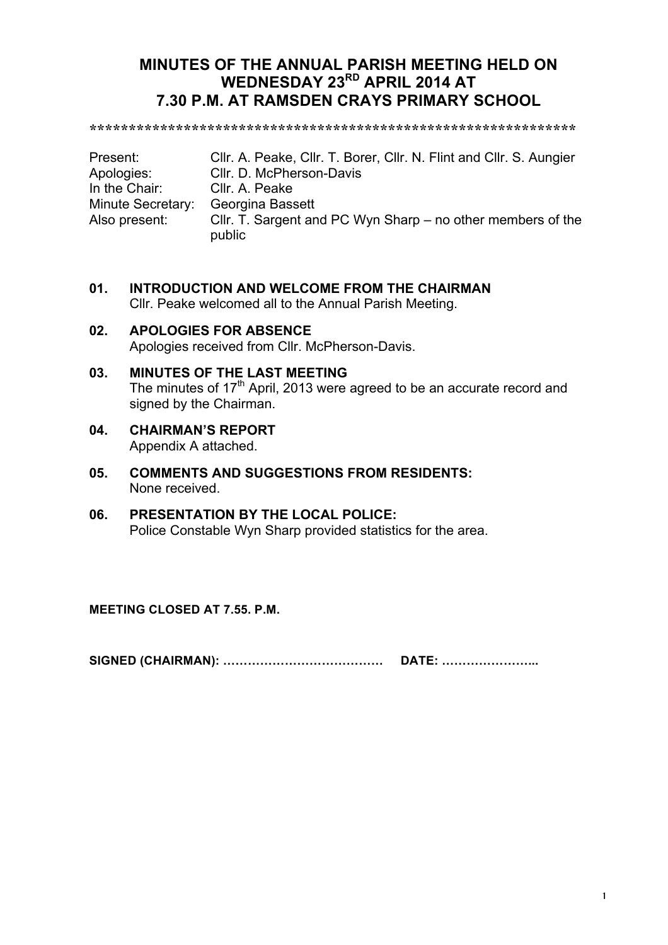# **MINUTES OF THE ANNUAL PARISH MEETING HELD ON WEDNESDAY 23RD APRIL 2014 AT 7.30 P.M. AT RAMSDEN CRAYS PRIMARY SCHOOL**

**\*\*\*\*\*\*\*\*\*\*\*\*\*\*\*\*\*\*\*\*\*\*\*\*\*\*\*\*\*\*\*\*\*\*\*\*\*\*\*\*\*\*\*\*\*\*\*\*\*\*\*\*\*\*\*\*\*\*\*\*\*\***

| Present:          | Cllr. A. Peake, Cllr. T. Borer, Cllr. N. Flint and Cllr. S. Aungier   |
|-------------------|-----------------------------------------------------------------------|
| Apologies:        | Cllr. D. McPherson-Davis                                              |
| In the Chair:     | Cllr. A. Peake                                                        |
| Minute Secretary: | Georgina Bassett                                                      |
| Also present:     | Cllr. T. Sargent and PC Wyn Sharp – no other members of the<br>public |

- **01. INTRODUCTION AND WELCOME FROM THE CHAIRMAN** Cllr. Peake welcomed all to the Annual Parish Meeting.
- **02. APOLOGIES FOR ABSENCE** Apologies received from Cllr. McPherson-Davis.
- **03. MINUTES OF THE LAST MEETING** The minutes of 17<sup>th</sup> April, 2013 were agreed to be an accurate record and signed by the Chairman.
- **04. CHAIRMAN'S REPORT** Appendix A attached.
- **05. COMMENTS AND SUGGESTIONS FROM RESIDENTS:** None received.
- **06. PRESENTATION BY THE LOCAL POLICE:** Police Constable Wyn Sharp provided statistics for the area.

**MEETING CLOSED AT 7.55. P.M.**

**SIGNED (CHAIRMAN): ………………………………… DATE: …………………...**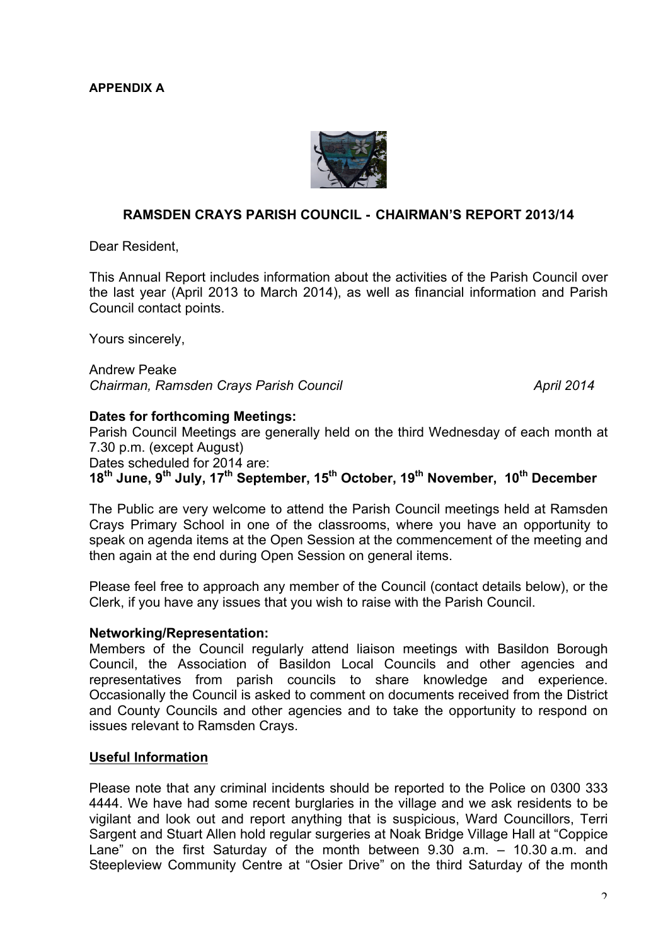

## **RAMSDEN CRAYS PARISH COUNCIL - CHAIRMAN'S REPORT 2013/14**

Dear Resident,

This Annual Report includes information about the activities of the Parish Council over the last year (April 2013 to March 2014), as well as financial information and Parish Council contact points.

Yours sincerely,

Andrew Peake *Chairman, Ramsden Crays Parish Council April 2014*

#### **Dates for forthcoming Meetings:**

Parish Council Meetings are generally held on the third Wednesday of each month at 7.30 p.m. (except August)

Dates scheduled for 2014 are:

**18th June, 9th July, 17th September, 15th October, 19th November, 10th December**

The Public are very welcome to attend the Parish Council meetings held at Ramsden Crays Primary School in one of the classrooms, where you have an opportunity to speak on agenda items at the Open Session at the commencement of the meeting and then again at the end during Open Session on general items.

Please feel free to approach any member of the Council (contact details below), or the Clerk, if you have any issues that you wish to raise with the Parish Council.

#### **Networking/Representation:**

Members of the Council regularly attend liaison meetings with Basildon Borough Council, the Association of Basildon Local Councils and other agencies and representatives from parish councils to share knowledge and experience. Occasionally the Council is asked to comment on documents received from the District and County Councils and other agencies and to take the opportunity to respond on issues relevant to Ramsden Crays.

#### **Useful Information**

Please note that any criminal incidents should be reported to the Police on 0300 333 4444. We have had some recent burglaries in the village and we ask residents to be vigilant and look out and report anything that is suspicious, Ward Councillors, Terri Sargent and Stuart Allen hold regular surgeries at Noak Bridge Village Hall at "Coppice Lane" on the first Saturday of the month between 9.30 a.m. – 10.30 a.m. and Steepleview Community Centre at "Osier Drive" on the third Saturday of the month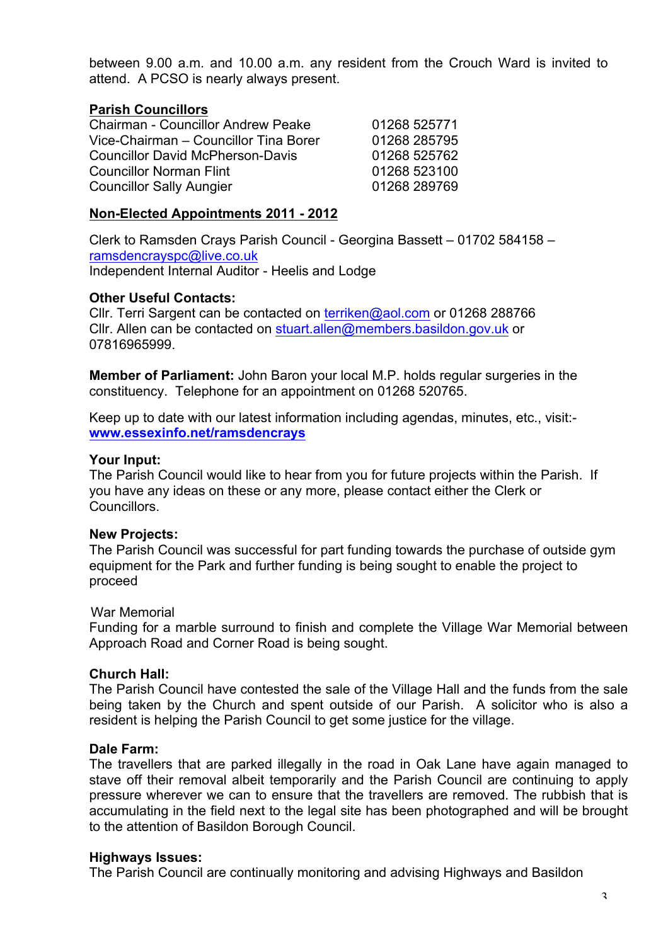between 9.00 a.m. and 10.00 a.m. any resident from the Crouch Ward is invited to attend. A PCSO is nearly always present.

# **Parish Councillors**

| <b>Chairman - Councillor Andrew Peake</b> | 01268 525771 |
|-------------------------------------------|--------------|
| Vice-Chairman - Councillor Tina Borer     | 01268 285795 |
| <b>Councillor David McPherson-Davis</b>   | 01268 525762 |
| <b>Councillor Norman Flint</b>            | 01268 523100 |
| <b>Councillor Sally Aungier</b>           | 01268 289769 |

# **Non-Elected Appointments 2011 - 2012**

Clerk to Ramsden Crays Parish Council - Georgina Bassett – 01702 584158 – ramsdencrayspc@live.co.uk Independent Internal Auditor - Heelis and Lodge

## **Other Useful Contacts:**

Cllr. Terri Sargent can be contacted on terriken@aol.com or 01268 288766 Cllr. Allen can be contacted on stuart.allen@members.basildon.gov.uk or 07816965999.

**Member of Parliament:** John Baron your local M.P. holds regular surgeries in the constituency. Telephone for an appointment on 01268 520765.

Keep up to date with our latest information including agendas, minutes, etc., visit: **www.essexinfo.net/ramsdencrays**

## **Your Input:**

The Parish Council would like to hear from you for future projects within the Parish. If you have any ideas on these or any more, please contact either the Clerk or Councillors.

## **New Projects:**

The Parish Council was successful for part funding towards the purchase of outside gym equipment for the Park and further funding is being sought to enable the project to proceed

## War Memorial

Funding for a marble surround to finish and complete the Village War Memorial between Approach Road and Corner Road is being sought.

## **Church Hall:**

The Parish Council have contested the sale of the Village Hall and the funds from the sale being taken by the Church and spent outside of our Parish. A solicitor who is also a resident is helping the Parish Council to get some justice for the village.

## **Dale Farm:**

The travellers that are parked illegally in the road in Oak Lane have again managed to stave off their removal albeit temporarily and the Parish Council are continuing to apply pressure wherever we can to ensure that the travellers are removed. The rubbish that is accumulating in the field next to the legal site has been photographed and will be brought to the attention of Basildon Borough Council.

## **Highways Issues:**

The Parish Council are continually monitoring and advising Highways and Basildon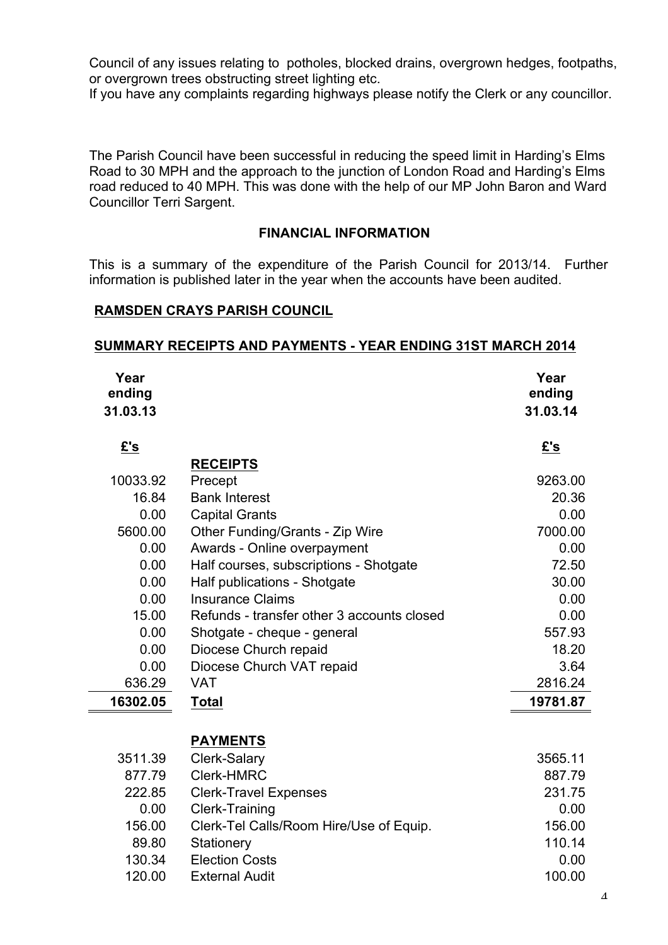Council of any issues relating to potholes, blocked drains, overgrown hedges, footpaths, or overgrown trees obstructing street lighting etc.

If you have any complaints regarding highways please notify the Clerk or any councillor.

The Parish Council have been successful in reducing the speed limit in Harding's Elms Road to 30 MPH and the approach to the junction of London Road and Harding's Elms road reduced to 40 MPH. This was done with the help of our MP John Baron and Ward Councillor Terri Sargent.

# **FINANCIAL INFORMATION**

This is a summary of the expenditure of the Parish Council for 2013/14. Further information is published later in the year when the accounts have been audited.

## **RAMSDEN CRAYS PARISH COUNCIL**

#### **SUMMARY RECEIPTS AND PAYMENTS - YEAR ENDING 31ST MARCH 2014**

| Year<br>ending<br>31.03.13 |                                            | Year<br>ending<br>31.03.14 |
|----------------------------|--------------------------------------------|----------------------------|
| £'s                        |                                            | £'s                        |
|                            | <b>RECEIPTS</b>                            |                            |
| 10033.92                   | Precept                                    | 9263.00                    |
| 16.84                      | <b>Bank Interest</b>                       | 20.36                      |
| 0.00                       | <b>Capital Grants</b>                      | 0.00                       |
| 5600.00                    | Other Funding/Grants - Zip Wire            | 7000.00                    |
| 0.00                       | Awards - Online overpayment                | 0.00                       |
| 0.00                       | Half courses, subscriptions - Shotgate     | 72.50                      |
| 0.00                       | Half publications - Shotgate               | 30.00                      |
| 0.00                       | <b>Insurance Claims</b>                    | 0.00                       |
| 15.00                      | Refunds - transfer other 3 accounts closed | 0.00                       |
| 0.00                       | Shotgate - cheque - general                | 557.93                     |
| 0.00                       | Diocese Church repaid                      | 18.20                      |
| 0.00                       | Diocese Church VAT repaid                  | 3.64                       |
| 636.29                     | <b>VAT</b>                                 | 2816.24                    |
| 16302.05                   | <b>Total</b>                               | 19781.87                   |
|                            | <b>PAYMENTS</b>                            |                            |
| 3511.39                    | Clerk-Salary                               | 3565.11                    |
| 877.79                     | <b>Clerk-HMRC</b>                          | 887.79                     |
| 222.85                     | <b>Clerk-Travel Expenses</b>               | 231.75                     |
| 0.00                       | <b>Clerk-Training</b>                      | 0.00                       |
| 156.00                     | Clerk-Tel Calls/Room Hire/Use of Equip.    | 156.00                     |
| 89.80                      | Stationery                                 | 110.14                     |
| 130.34                     | <b>Election Costs</b>                      | 0.00                       |
| 120.00                     | <b>External Audit</b>                      | 100.00                     |